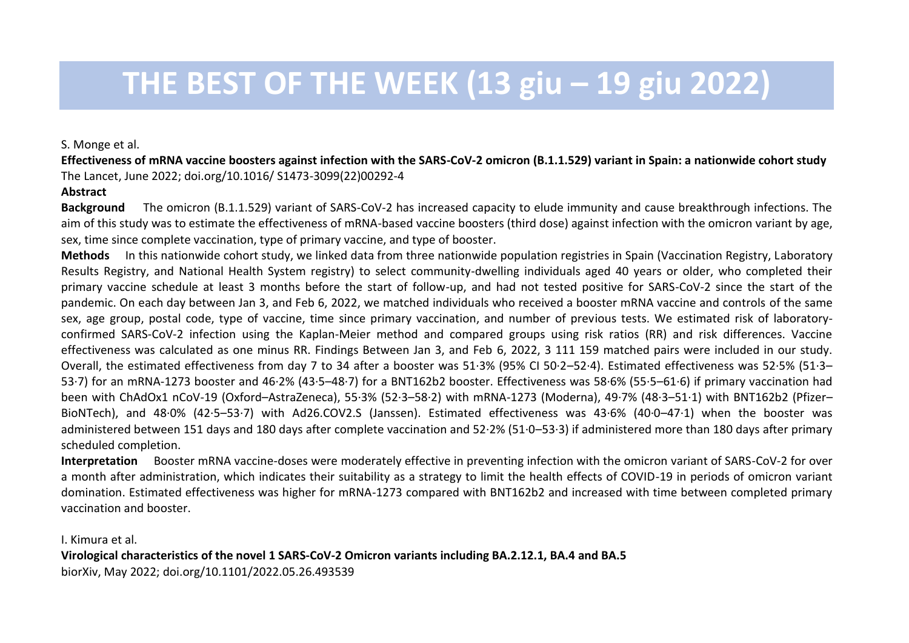## **THE BEST OF THE WEEK (13 giu – 19 giu 2022)**

S. Monge et al.

**Effectiveness of mRNA vaccine boosters against infection with the SARS-CoV-2 omicron (B.1.1.529) variant in Spain: a nationwide cohort study** The Lancet, June 2022; doi.org/10.1016/ S1473-3099(22)00292-4

## **Abstract**

**Background** The omicron (B.1.1.529) variant of SARS-CoV-2 has increased capacity to elude immunity and cause breakthrough infections. The aim of this study was to estimate the effectiveness of mRNA-based vaccine boosters (third dose) against infection with the omicron variant by age, sex, time since complete vaccination, type of primary vaccine, and type of booster.

**Methods** In this nationwide cohort study, we linked data from three nationwide population registries in Spain (Vaccination Registry, Laboratory Results Registry, and National Health System registry) to select community-dwelling individuals aged 40 years or older, who completed their primary vaccine schedule at least 3 months before the start of follow-up, and had not tested positive for SARS-CoV-2 since the start of the pandemic. On each day between Jan 3, and Feb 6, 2022, we matched individuals who received a booster mRNA vaccine and controls of the same sex, age group, postal code, type of vaccine, time since primary vaccination, and number of previous tests. We estimated risk of laboratoryconfirmed SARS-CoV-2 infection using the Kaplan-Meier method and compared groups using risk ratios (RR) and risk differences. Vaccine effectiveness was calculated as one minus RR. Findings Between Jan 3, and Feb 6, 2022, 3 111 159 matched pairs were included in our study. Overall, the estimated effectiveness from day 7 to 34 after a booster was 51·3% (95% CI 50·2–52·4). Estimated effectiveness was 52·5% (51·3– 53·7) for an mRNA-1273 booster and 46·2% (43·5–48·7) for a BNT162b2 booster. Effectiveness was 58·6% (55·5–61·6) if primary vaccination had been with ChAdOx1 nCoV-19 (Oxford–AstraZeneca), 55·3% (52·3–58·2) with mRNA-1273 (Moderna), 49·7% (48·3–51·1) with BNT162b2 (Pfizer– BioNTech), and 48·0% (42·5–53·7) with Ad26.COV2.S (Janssen). Estimated effectiveness was 43·6% (40·0–47·1) when the booster was administered between 151 days and 180 days after complete vaccination and 52·2% (51·0–53·3) if administered more than 180 days after primary scheduled completion.

**Interpretation** Booster mRNA vaccine-doses were moderately effective in preventing infection with the omicron variant of SARS-CoV-2 for over a month after administration, which indicates their suitability as a strategy to limit the health effects of COVID-19 in periods of omicron variant domination. Estimated effectiveness was higher for mRNA-1273 compared with BNT162b2 and increased with time between completed primary vaccination and booster.

I. Kimura et al.

**Virological characteristics of the novel 1 SARS-CoV-2 Omicron variants including BA.2.12.1, BA.4 and BA.5** biorXiv, May 2022; doi.org/10.1101/2022.05.26.493539